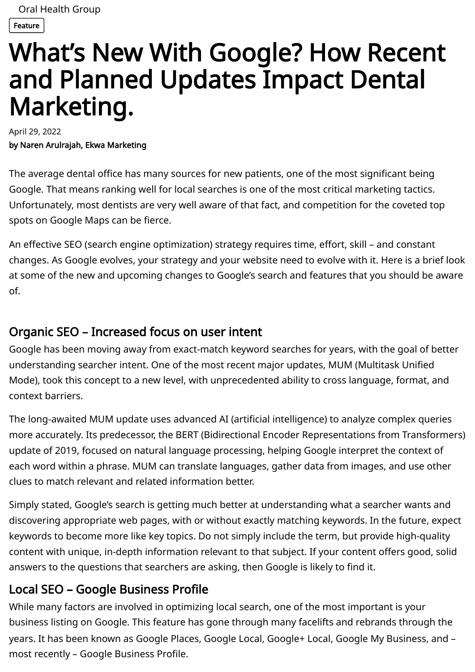# What's New With Google? How Recent and Planned Updates Impact Dental Marketing.

April 29, 2022 by Naren Arulrajah, Ekwa Marketing

The average dental office has many sources for new patients, one of the most significant being Google. That means ranking well for local searches is one of the most critical marketing tactics. Unfortunately, most dentists are very well aware of that fact, and competition for the coveted top spots on Google Maps can be fierce.

An effective SEO (search engine optimization) strategy requires time, effort, skill – and constant changes. As Google evolves, your strategy and your website need to evolve with it. Here is a brief look at some of the new and upcoming changes to Google's search and features that you should be aware of.

## Organic SEO – Increased focus on user intent

Google has been moving away from exact-match keyword searches for years, with the goal of better understanding searcher intent. One of the most recent major updates, MUM (Multitask Unified Mode), took this concept to a new level, with unprecedented ability to cross language, format, and context barriers.

The long-awaited MUM update uses advanced AI (artificial intelligence) to analyze complex queries more accurately. Its predecessor, the BERT (Bidirectional Encoder Representations from Transformers) update of 2019, focused on natural language processing, helping Google interpret the context of each word within a phrase. MUM can translate languages, gather data from images, and use other clues to match relevant and related information better.

Simply stated, Google's search is getting much better at understanding what a searcher wants and discovering appropriate web pages, with or without exactly matching keywords. In the future, expect keywords to become more like key topics. Do not simply include the term, but provide high-quality content with unique, in-depth information relevant to that subject. If your content offers good, solid answers to the questions that searchers are asking, then Google is likely to find it.

## Local SEO – Google Business Profile

While many factors are involved in optimizing local search, one of the most important is your business listing on Google. This feature has gone through many facelifts and rebrands through the years. It has been known as Google Places, Google Local, Google+ Local, Google My Business, and – most recently – Google Business Profile.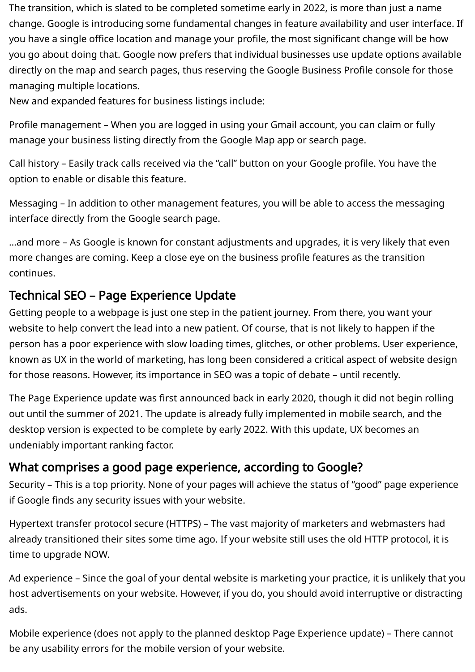The transition, which is slated to be completed sometime early in 2022, is more than just a name change. Google is introducing some fundamental changes in feature availability and user interface. If you have a single office location and manage your profile, the most significant change will be how you go about doing that. Google now prefers that individual businesses use update options available directly on the map and search pages, thus reserving the Google Business Profile console for those managing multiple locations.

New and expanded features for business listings include:

Profile management – When you are logged in using your Gmail account, you can claim or fully manage your business listing directly from the Google Map app or search page.

Call history – Easily track calls received via the "call" button on your Google profile. You have the option to enable or disable this feature.

Messaging – In addition to other management features, you will be able to access the messaging interface directly from the Google search page.

…and more – As Google is known for constant adjustments and upgrades, it is very likely that even more changes are coming. Keep a close eye on the business profile features as the transition continues.

### Technical SEO – Page Experience Update

Getting people to a webpage is just one step in the patient journey. From there, you want your website to help convert the lead into a new patient. Of course, that is not likely to happen if the person has a poor experience with slow loading times, glitches, or other problems. User experience, known as UX in the world of marketing, has long been considered a critical aspect of website design for those reasons. However, its importance in SEO was a topic of debate – until recently.

The Page Experience update was first announced back in early 2020, though it did not begin rolling out until the summer of 2021. The update is already fully implemented in mobile search, and the desktop version is expected to be complete by early 2022. With this update, UX becomes an undeniably important ranking factor.

#### What comprises a good page experience, according to Google?

Security – This is a top priority. None of your pages will achieve the status of "good" page experience if Google finds any security issues with your website.

Hypertext transfer protocol secure (HTTPS) – The vast majority of marketers and webmasters had already transitioned their sites some time ago. If your website still uses the old HTTP protocol, it is time to upgrade NOW.

Ad experience – Since the goal of your dental website is marketing your practice, it is unlikely that you host advertisements on your website. However, if you do, you should avoid interruptive or distracting ads.

Mobile experience (does not apply to the planned desktop Page Experience update) – There cannot be any usability errors for the mobile version of your website.